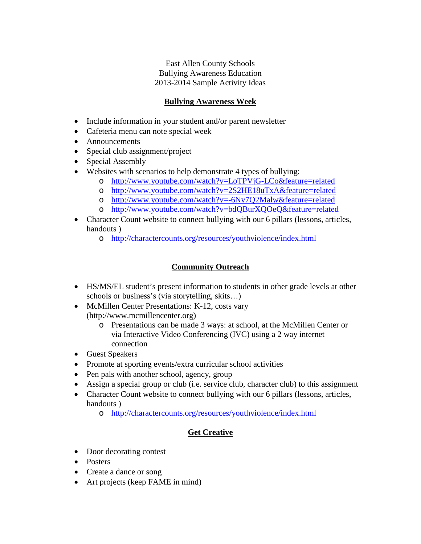East Allen County Schools Bullying Awareness Education 2013-2014 Sample Activity Ideas

### **Bullying Awareness Week**

- Include information in your student and/or parent newsletter
- Cafeteria menu can note special week
- Announcements
- Special club assignment/project
- Special Assembly
- Websites with scenarios to help demonstrate 4 types of bullying:
	- o <http://www.youtube.com/watch?v=LoTPVjG-LCo&feature=related>
	- o <http://www.youtube.com/watch?v=2S2HE18uTxA&feature=related>
	- o <http://www.youtube.com/watch?v=-6Nv7Q2Malw&feature=related>
	- o <http://www.youtube.com/watch?v=bdQBurXQOeQ&feature=related>
- Character Count website to connect bullying with our 6 pillars (lessons, articles, handouts )
	- o <http://charactercounts.org/resources/youthviolence/index.html>

## **Community Outreach**

- HS/MS/EL student's present information to students in other grade levels at other schools or business's (via storytelling, skits…)
- McMillen Center Presentations: K-12, costs vary (http://www.mcmillencenter.org)
	- o Presentations can be made 3 ways: at school, at the McMillen Center or via Interactive Video Conferencing (IVC) using a 2 way internet connection
- Guest Speakers
- Promote at sporting events/extra curricular school activities
- Pen pals with another school, agency, group
- Assign a special group or club (i.e. service club, character club) to this assignment
- Character Count website to connect bullying with our 6 pillars (lessons, articles, handouts )
	- o <http://charactercounts.org/resources/youthviolence/index.html>

## **Get Creative**

- Door decorating contest
- Posters
- Create a dance or song
- Art projects (keep FAME in mind)